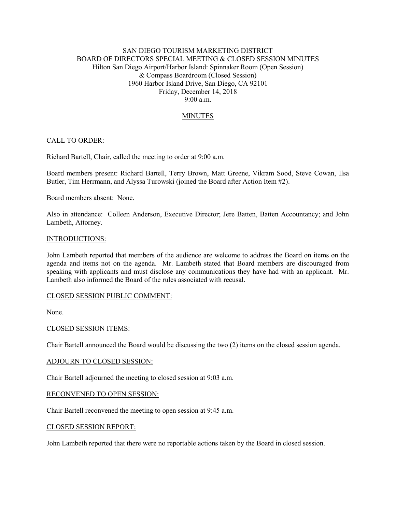## SAN DIEGO TOURISM MARKETING DISTRICT BOARD OF DIRECTORS SPECIAL MEETING & CLOSED SESSION MINUTES Hilton San Diego Airport/Harbor Island: Spinnaker Room (Open Session) & Compass Boardroom (Closed Session) 1960 Harbor Island Drive, San Diego, CA 92101 Friday, December 14, 2018 9:00 a.m.

# MINUTES

## CALL TO ORDER:

Richard Bartell, Chair, called the meeting to order at 9:00 a.m.

Board members present: Richard Bartell, Terry Brown, Matt Greene, Vikram Sood, Steve Cowan, Ilsa Butler, Tim Herrmann, and Alyssa Turowski (joined the Board after Action Item #2).

Board members absent: None.

Also in attendance: Colleen Anderson, Executive Director; Jere Batten, Batten Accountancy; and John Lambeth, Attorney.

#### INTRODUCTIONS:

John Lambeth reported that members of the audience are welcome to address the Board on items on the agenda and items not on the agenda. Mr. Lambeth stated that Board members are discouraged from speaking with applicants and must disclose any communications they have had with an applicant. Mr. Lambeth also informed the Board of the rules associated with recusal.

#### CLOSED SESSION PUBLIC COMMENT:

None.

## CLOSED SESSION ITEMS:

Chair Bartell announced the Board would be discussing the two (2) items on the closed session agenda.

#### ADJOURN TO CLOSED SESSION:

Chair Bartell adjourned the meeting to closed session at 9:03 a.m.

#### RECONVENED TO OPEN SESSION:

Chair Bartell reconvened the meeting to open session at 9:45 a.m.

#### CLOSED SESSION REPORT:

John Lambeth reported that there were no reportable actions taken by the Board in closed session.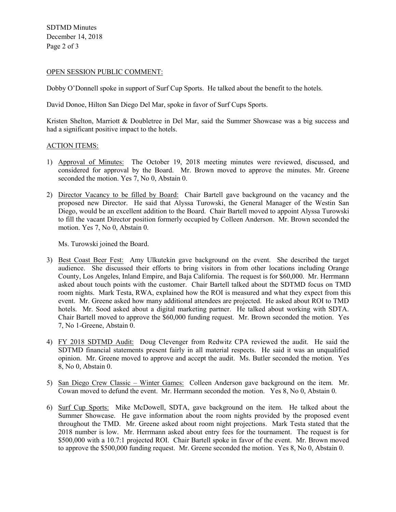SDTMD Minutes December 14, 2018 Page 2 of 3

### OPEN SESSION PUBLIC COMMENT:

Dobby O'Donnell spoke in support of Surf Cup Sports. He talked about the benefit to the hotels.

David Donoe, Hilton San Diego Del Mar, spoke in favor of Surf Cups Sports.

Kristen Shelton, Marriott & Doubletree in Del Mar, said the Summer Showcase was a big success and had a significant positive impact to the hotels.

### ACTION ITEMS:

- 1) Approval of Minutes: The October 19, 2018 meeting minutes were reviewed, discussed, and considered for approval by the Board. Mr. Brown moved to approve the minutes. Mr. Greene seconded the motion. Yes 7, No 0, Abstain 0.
- 2) Director Vacancy to be filled by Board: Chair Bartell gave background on the vacancy and the proposed new Director. He said that Alyssa Turowski, the General Manager of the Westin San Diego, would be an excellent addition to the Board. Chair Bartell moved to appoint Alyssa Turowski to fill the vacant Director position formerly occupied by Colleen Anderson. Mr. Brown seconded the motion. Yes 7, No 0, Abstain 0.

Ms. Turowski joined the Board.

- 3) Best Coast Beer Fest: Amy Ulkutekin gave background on the event. She described the target audience. She discussed their efforts to bring visitors in from other locations including Orange County, Los Angeles, Inland Empire, and Baja California. The request is for \$60,000. Mr. Herrmann asked about touch points with the customer. Chair Bartell talked about the SDTMD focus on TMD room nights. Mark Testa, RWA, explained how the ROI is measured and what they expect from this event. Mr. Greene asked how many additional attendees are projected. He asked about ROI to TMD hotels. Mr. Sood asked about a digital marketing partner. He talked about working with SDTA. Chair Bartell moved to approve the \$60,000 funding request. Mr. Brown seconded the motion. Yes 7, No 1-Greene, Abstain 0.
- 4) FY 2018 SDTMD Audit: Doug Clevenger from Redwitz CPA reviewed the audit. He said the SDTMD financial statements present fairly in all material respects. He said it was an unqualified opinion. Mr. Greene moved to approve and accept the audit. Ms. Butler seconded the motion. Yes 8, No 0, Abstain 0.
- 5) San Diego Crew Classic Winter Games: Colleen Anderson gave background on the item. Mr. Cowan moved to defund the event. Mr. Herrmann seconded the motion. Yes 8, No 0, Abstain 0.
- 6) Surf Cup Sports: Mike McDowell, SDTA, gave background on the item. He talked about the Summer Showcase. He gave information about the room nights provided by the proposed event throughout the TMD. Mr. Greene asked about room night projections. Mark Testa stated that the 2018 number is low. Mr. Herrmann asked about entry fees for the tournament. The request is for \$500,000 with a 10.7:1 projected ROI. Chair Bartell spoke in favor of the event. Mr. Brown moved to approve the \$500,000 funding request. Mr. Greene seconded the motion. Yes 8, No 0, Abstain 0.